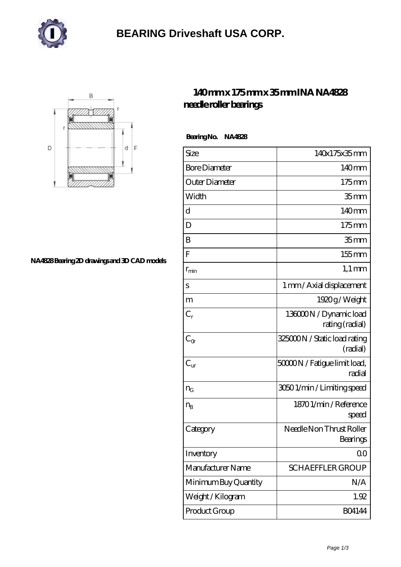

## **[BEARING Driveshaft USA CORP.](https://henschel-at.com)**



## **[NA4828 Bearing 2D drawings and 3D CAD models](https://henschel-at.com/pic-354119.html)**

## **[140 mm x 175 mm x 35 mm INA NA4828](https://henschel-at.com/ina-na4828-bearing/) [needle roller bearings](https://henschel-at.com/ina-na4828-bearing/)**

 **Bearing No. NA4828**

| Size                 | 140x175x35mm                              |
|----------------------|-------------------------------------------|
| <b>Bore Diameter</b> | 140mm                                     |
| Outer Diameter       | $175$ mm                                  |
| Width                | 35 <sub>mm</sub>                          |
| d                    | 140mm                                     |
| D                    | 175mm                                     |
| B                    | 35 <sub>mm</sub>                          |
| $\overline{F}$       | 155mm                                     |
| $r_{\rm min}$        | $1,1 \,\mathrm{mm}$                       |
| S                    | 1 mm / Axial displacement                 |
| m                    | 1920g/Weight                              |
| $C_r$                | 136000N / Dynamic load<br>rating (radial) |
| $C_{\alpha}$         | 325000N / Static load rating<br>(radial)  |
| $C_{\rm ur}$         | 50000N / Fatigue limit load,<br>radial    |
| $n_G$                | 30501/min/Limitingspeed                   |
| $n_{B}$              | 18701/min/Reference<br>speed              |
| Category             | Needle Non Thrust Roller<br>Bearings      |
| Inventory            | 0 <sub>0</sub>                            |
| Manufacturer Name    | <b>SCHAEFFLER GROUP</b>                   |
| Minimum Buy Quantity | N/A                                       |
| Weight/Kilogram      | 1.92                                      |
| Product Group        | <b>BO4144</b>                             |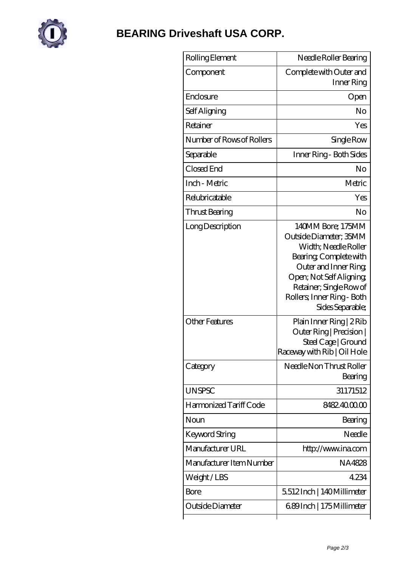

| Rolling Element           | Needle Roller Bearing                                                                                                                                                                                                         |
|---------------------------|-------------------------------------------------------------------------------------------------------------------------------------------------------------------------------------------------------------------------------|
| Component                 | Complete with Outer and<br>Inner Ring                                                                                                                                                                                         |
| Enclosure                 | Open                                                                                                                                                                                                                          |
| Self Aligning             | No                                                                                                                                                                                                                            |
| Retainer                  | Yes                                                                                                                                                                                                                           |
| Number of Rows of Rollers | Single Row                                                                                                                                                                                                                    |
| Separable                 | Inner Ring - Both Sides                                                                                                                                                                                                       |
| Closed End                | No                                                                                                                                                                                                                            |
| Inch - Metric             | Metric                                                                                                                                                                                                                        |
| Relubricatable            | Yes                                                                                                                                                                                                                           |
| Thrust Bearing            | No                                                                                                                                                                                                                            |
| Long Description          | 140MM Bore; 175MM<br>Outside Diameter; 35MM<br>Width; Needle Roller<br>Bearing, Complete with<br>Outer and Inner Ring<br>Open; Not Self Aligning<br>Retainer; Single Row of<br>Rollers; Inner Ring - Both<br>Sides Separable; |
| <b>Other Features</b>     | Plain Inner Ring   2 Rib<br>Outer Ring   Precision  <br>Steel Cage   Ground<br>Raceway with Rib   Oil Hole                                                                                                                    |
| Category                  | Needle Non Thrust Roller<br>Bearing                                                                                                                                                                                           |
| <b>UNSPSC</b>             | 31171512                                                                                                                                                                                                                      |
| Harmonized Tariff Code    | 8482.4000.00                                                                                                                                                                                                                  |
| Noun                      | Bearing                                                                                                                                                                                                                       |
| Keyword String            | Needle                                                                                                                                                                                                                        |
| Manufacturer URL          | http://www.ina.com                                                                                                                                                                                                            |
| Manufacturer Item Number  | NA4828                                                                                                                                                                                                                        |
| Weight/LBS                | 4234                                                                                                                                                                                                                          |
| Bore                      | 5512Inch   140Millimeter                                                                                                                                                                                                      |
| Outside Diameter          | 689Inch   175Millimeter                                                                                                                                                                                                       |